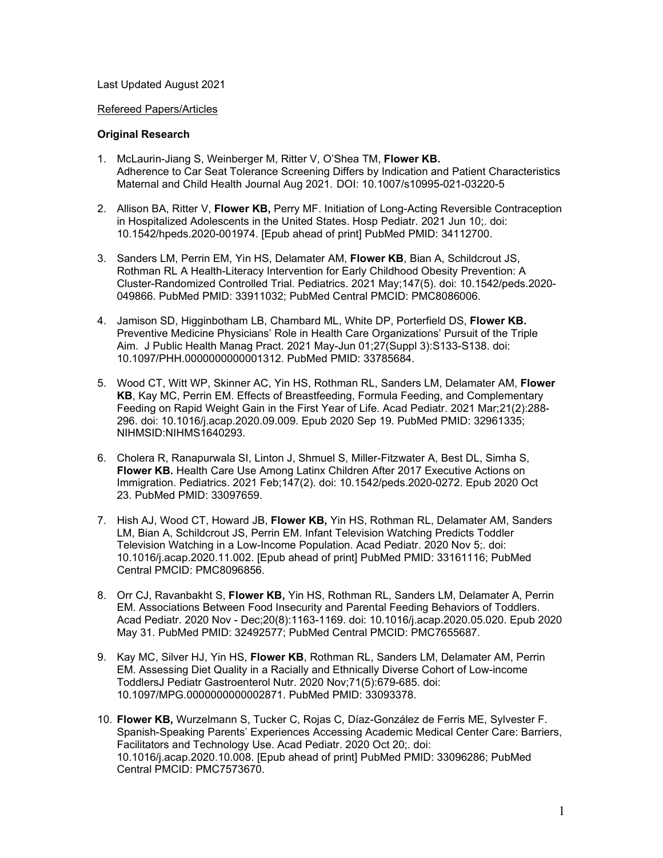## Last Updated August 2021

## Refereed Papers/Articles

## **Original Research**

- 1. McLaurin-Jiang S, Weinberger M, Ritter V, O'Shea TM, **Flower KB.** Adherence to Car Seat Tolerance Screening Differs by Indication and Patient Characteristics Maternal and Child Health Journal Aug 2021. DOI: 10.1007/s10995-021-03220-5
- 2. Allison BA, Ritter V, **Flower KB,** Perry MF. Initiation of Long-Acting Reversible Contraception in Hospitalized Adolescents in the United States. Hosp Pediatr. 2021 Jun 10;. doi: 10.1542/hpeds.2020-001974. [Epub ahead of print] PubMed PMID: 34112700.
- 3. Sanders LM, Perrin EM, Yin HS, Delamater AM, **Flower KB**, Bian A, Schildcrout JS, Rothman RL A Health-Literacy Intervention for Early Childhood Obesity Prevention: A Cluster-Randomized Controlled Trial. Pediatrics. 2021 May;147(5). doi: 10.1542/peds.2020- 049866. PubMed PMID: 33911032; PubMed Central PMCID: PMC8086006.
- 4. Jamison SD, Higginbotham LB, Chambard ML, White DP, Porterfield DS, **Flower KB.** Preventive Medicine Physicians' Role in Health Care Organizations' Pursuit of the Triple Aim. J Public Health Manag Pract. 2021 May-Jun 01;27(Suppl 3):S133-S138. doi: 10.1097/PHH.0000000000001312. PubMed PMID: 33785684.
- 5. Wood CT, Witt WP, Skinner AC, Yin HS, Rothman RL, Sanders LM, Delamater AM, **Flower KB**, Kay MC, Perrin EM. Effects of Breastfeeding, Formula Feeding, and Complementary Feeding on Rapid Weight Gain in the First Year of Life. Acad Pediatr. 2021 Mar;21(2):288- 296. doi: 10.1016/j.acap.2020.09.009. Epub 2020 Sep 19. PubMed PMID: 32961335; NIHMSID:NIHMS1640293.
- 6. Cholera R, Ranapurwala SI, Linton J, Shmuel S, Miller-Fitzwater A, Best DL, Simha S, **Flower KB.** Health Care Use Among Latinx Children After 2017 Executive Actions on Immigration. Pediatrics. 2021 Feb;147(2). doi: 10.1542/peds.2020-0272. Epub 2020 Oct 23. PubMed PMID: 33097659.
- 7. Hish AJ, Wood CT, Howard JB, **Flower KB,** Yin HS, Rothman RL, Delamater AM, Sanders LM, Bian A, Schildcrout JS, Perrin EM. Infant Television Watching Predicts Toddler Television Watching in a Low-Income Population. Acad Pediatr. 2020 Nov 5;. doi: 10.1016/j.acap.2020.11.002. [Epub ahead of print] PubMed PMID: 33161116; PubMed Central PMCID: PMC8096856.
- 8. Orr CJ, Ravanbakht S, **Flower KB,** Yin HS, Rothman RL, Sanders LM, Delamater A, Perrin EM. Associations Between Food Insecurity and Parental Feeding Behaviors of Toddlers. Acad Pediatr. 2020 Nov - Dec;20(8):1163-1169. doi: 10.1016/j.acap.2020.05.020. Epub 2020 May 31. PubMed PMID: 32492577; PubMed Central PMCID: PMC7655687.
- 9. Kay MC, Silver HJ, Yin HS, **Flower KB**, Rothman RL, Sanders LM, Delamater AM, Perrin EM. Assessing Diet Quality in a Racially and Ethnically Diverse Cohort of Low-income ToddlersJ Pediatr Gastroenterol Nutr. 2020 Nov;71(5):679-685. doi: 10.1097/MPG.0000000000002871. PubMed PMID: 33093378.
- 10. **Flower KB,** Wurzelmann S, Tucker C, Rojas C, Díaz-González de Ferris ME, Sylvester F. Spanish-Speaking Parents' Experiences Accessing Academic Medical Center Care: Barriers, Facilitators and Technology Use. Acad Pediatr. 2020 Oct 20;. doi: 10.1016/j.acap.2020.10.008. [Epub ahead of print] PubMed PMID: 33096286; PubMed Central PMCID: PMC7573670.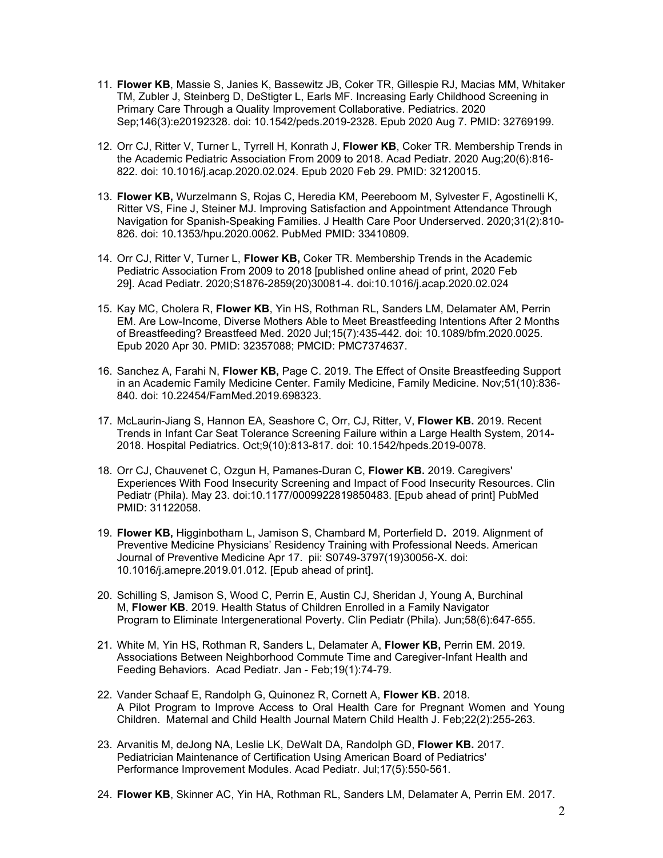- 11. **Flower KB**, Massie S, Janies K, Bassewitz JB, Coker TR, Gillespie RJ, Macias MM, Whitaker TM, Zubler J, Steinberg D, DeStigter L, Earls MF. Increasing Early Childhood Screening in Primary Care Through a Quality Improvement Collaborative. Pediatrics. 2020 Sep;146(3):e20192328. doi: 10.1542/peds.2019-2328. Epub 2020 Aug 7. PMID: 32769199.
- 12. Orr CJ, Ritter V, Turner L, Tyrrell H, Konrath J, **Flower KB**, Coker TR. Membership Trends in the Academic Pediatric Association From 2009 to 2018. Acad Pediatr. 2020 Aug;20(6):816- 822. doi: 10.1016/j.acap.2020.02.024. Epub 2020 Feb 29. PMID: 32120015.
- 13. **Flower KB,** Wurzelmann S, Rojas C, Heredia KM, Peereboom M, Sylvester F, Agostinelli K, Ritter VS, Fine J, Steiner MJ. Improving Satisfaction and Appointment Attendance Through Navigation for Spanish-Speaking Families. J Health Care Poor Underserved. 2020;31(2):810- 826. doi: 10.1353/hpu.2020.0062. PubMed PMID: 33410809.
- 14. Orr CJ, Ritter V, Turner L, **Flower KB,** Coker TR. Membership Trends in the Academic Pediatric Association From 2009 to 2018 [published online ahead of print, 2020 Feb 29]. Acad Pediatr. 2020;S1876-2859(20)30081-4. doi:10.1016/j.acap.2020.02.024
- 15. Kay MC, Cholera R, **Flower KB**, Yin HS, Rothman RL, Sanders LM, Delamater AM, Perrin EM. Are Low-Income, Diverse Mothers Able to Meet Breastfeeding Intentions After 2 Months of Breastfeeding? Breastfeed Med. 2020 Jul;15(7):435-442. doi: 10.1089/bfm.2020.0025. Epub 2020 Apr 30. PMID: 32357088; PMCID: PMC7374637.
- 16. Sanchez A, Farahi N, **Flower KB,** Page C. 2019. The Effect of Onsite Breastfeeding Support in an Academic Family Medicine Center. Family Medicine, Family Medicine. Nov;51(10):836- 840. doi: 10.22454/FamMed.2019.698323.
- 17. McLaurin-Jiang S, Hannon EA, Seashore C, Orr, CJ, Ritter, V, **Flower KB.** 2019. Recent Trends in Infant Car Seat Tolerance Screening Failure within a Large Health System, 2014- 2018. Hospital Pediatrics. Oct;9(10):813-817. doi: 10.1542/hpeds.2019-0078.
- 18. Orr CJ, Chauvenet C, Ozgun H, Pamanes-Duran C, **Flower KB.** 2019. Caregivers' Experiences With Food Insecurity Screening and Impact of Food Insecurity Resources. Clin Pediatr (Phila). May 23. doi:10.1177/0009922819850483. [Epub ahead of print] PubMed PMID: 31122058.
- 19. **Flower KB,** Higginbotham L, Jamison S, Chambard M, Porterfield D**.** 2019. Alignment of Preventive Medicine Physicians' Residency Training with Professional Needs. American Journal of Preventive Medicine Apr 17. pii: S0749-3797(19)30056-X. doi: 10.1016/j.amepre.2019.01.012. [Epub ahead of print].
- 20. Schilling S, Jamison S, Wood C, Perrin E, Austin CJ, Sheridan J, Young A, Burchinal M, **Flower KB**. 2019. Health Status of Children Enrolled in a Family Navigator Program to Eliminate Intergenerational Poverty. Clin Pediatr (Phila). Jun;58(6):647-655.
- 21. White M, Yin HS, Rothman R, Sanders L, Delamater A, **Flower KB,** Perrin EM. 2019. Associations Between Neighborhood Commute Time and Caregiver-Infant Health and Feeding Behaviors. Acad Pediatr. Jan - Feb;19(1):74-79.
- 22. Vander Schaaf E, Randolph G, Quinonez R, Cornett A, **Flower KB.** 2018. A Pilot Program to Improve Access to Oral Health Care for Pregnant Women and Young Children. Maternal and Child Health Journal Matern Child Health J. Feb;22(2):255-263.
- 23. Arvanitis M, deJong NA, Leslie LK, DeWalt DA, Randolph GD, **Flower KB.** 2017. Pediatrician Maintenance of Certification Using American Board of Pediatrics' Performance Improvement Modules. Acad Pediatr. Jul;17(5):550-561.
- 24. **Flower KB**, Skinner AC, Yin HA, Rothman RL, Sanders LM, Delamater A, Perrin EM. 2017.